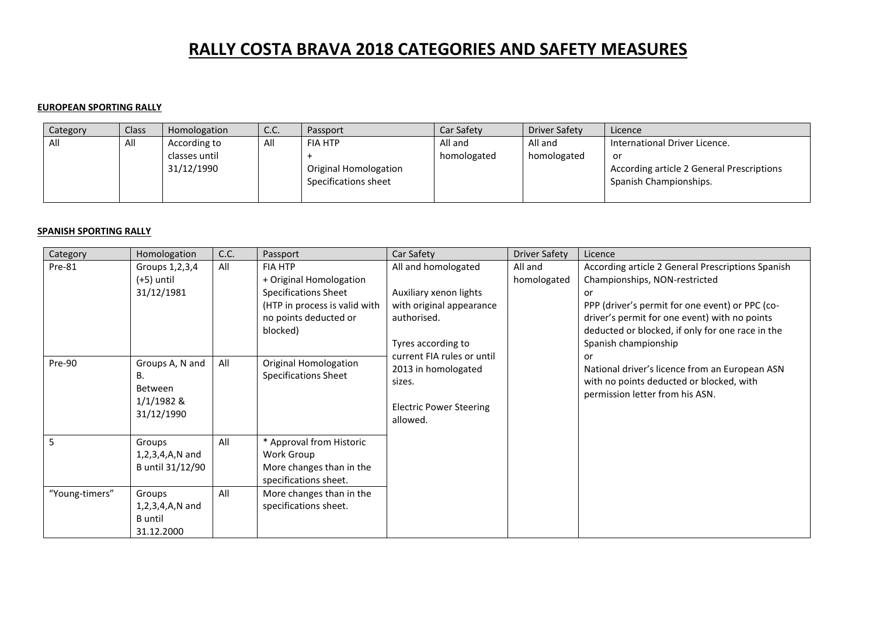# **RALLY COSTA BRAVA 2018 CATEGORIES AND SAFETY MEASURES**

#### **EUROPEAN SPORTING RALLY**

| Category | Class <sup>®</sup> | Homologation  | C.C. | Passport              | Car Safety  | Driver Safety | Licence                                   |
|----------|--------------------|---------------|------|-----------------------|-------------|---------------|-------------------------------------------|
| All      | All                | According to  | All  | <b>FIA HTP</b>        | All and     | All and       | International Driver Licence.             |
|          |                    | classes until |      |                       | homologated | homologated   | or                                        |
|          |                    | 31/12/1990    |      | Original Homologation |             |               | According article 2 General Prescriptions |
|          |                    |               |      | Specifications sheet  |             |               | Spanish Championships.                    |
|          |                    |               |      |                       |             |               |                                           |

#### **SPANISH SPORTING RALLY**

| Category       | Homologation                                                   | C.C. | Passport                                                                                                                                       | Car Safety                                                                                                     | <b>Driver Safety</b>   | Licence                                                                                                                                                                                                                                                                  |
|----------------|----------------------------------------------------------------|------|------------------------------------------------------------------------------------------------------------------------------------------------|----------------------------------------------------------------------------------------------------------------|------------------------|--------------------------------------------------------------------------------------------------------------------------------------------------------------------------------------------------------------------------------------------------------------------------|
| Pre-81         | Groups 1,2,3,4<br>(+5) until<br>31/12/1981                     | All  | <b>FIA HTP</b><br>+ Original Homologation<br><b>Specifications Sheet</b><br>(HTP in process is valid with<br>no points deducted or<br>blocked) | All and homologated<br>Auxiliary xenon lights<br>with original appearance<br>authorised.<br>Tyres according to | All and<br>homologated | According article 2 General Prescriptions Spanish<br>Championships, NON-restricted<br>or<br>PPP (driver's permit for one event) or PPC (co-<br>driver's permit for one event) with no points<br>deducted or blocked, if only for one race in the<br>Spanish championship |
| Pre-90         | Groups A, N and<br>В.<br>Between<br>$1/1/1982$ &<br>31/12/1990 | All  | <b>Original Homologation</b><br><b>Specifications Sheet</b>                                                                                    | current FIA rules or until<br>2013 in homologated<br>sizes.<br><b>Electric Power Steering</b><br>allowed.      |                        | or<br>National driver's licence from an European ASN<br>with no points deducted or blocked, with<br>permission letter from his ASN.                                                                                                                                      |
| 5              | Groups<br>$1, 2, 3, 4, A, N$ and<br>B until 31/12/90           | All  | * Approval from Historic<br>Work Group<br>More changes than in the<br>specifications sheet.                                                    |                                                                                                                |                        |                                                                                                                                                                                                                                                                          |
| "Young-timers" | Groups<br>$1, 2, 3, 4, A, N$ and<br>B until<br>31.12.2000      | All  | More changes than in the<br>specifications sheet.                                                                                              |                                                                                                                |                        |                                                                                                                                                                                                                                                                          |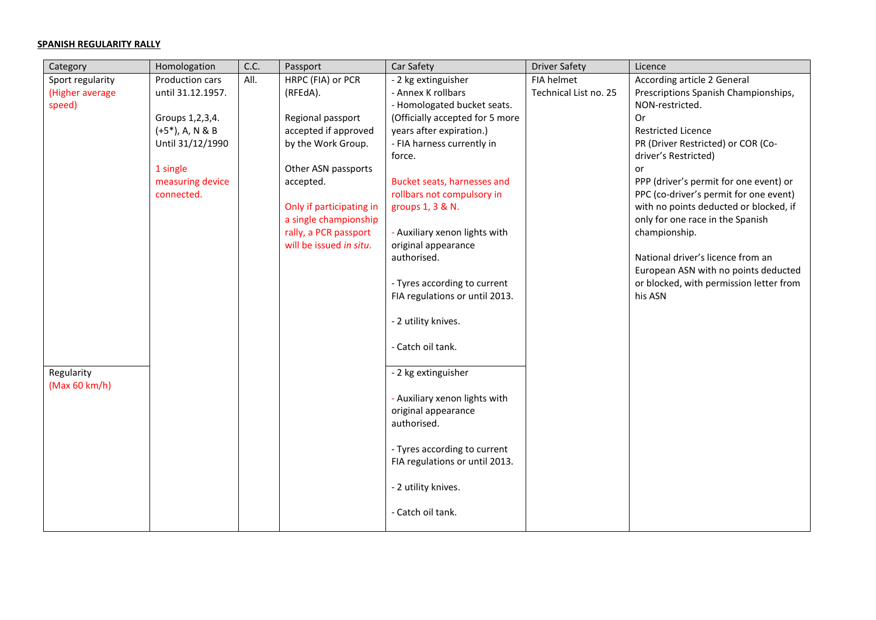## **SPANISH REGULARITY RALLY**

| Category         | Homologation        | C.C. | Passport                 | Car Safety                      | <b>Driver Safety</b>  | Licence                                 |
|------------------|---------------------|------|--------------------------|---------------------------------|-----------------------|-----------------------------------------|
| Sport regularity | Production cars     | All. | HRPC (FIA) or PCR        | - 2 kg extinguisher             | FIA helmet            | According article 2 General             |
| (Higher average  | until 31.12.1957.   |      | (RFEdA).                 | - Annex K rollbars              | Technical List no. 25 | Prescriptions Spanish Championships,    |
| speed)           |                     |      |                          | - Homologated bucket seats.     |                       | NON-restricted.                         |
|                  | Groups 1, 2, 3, 4.  |      | Regional passport        | (Officially accepted for 5 more |                       | 0r                                      |
|                  | $(+5^*)$ , A, N & B |      | accepted if approved     | years after expiration.)        |                       | <b>Restricted Licence</b>               |
|                  | Until 31/12/1990    |      | by the Work Group.       | - FIA harness currently in      |                       | PR (Driver Restricted) or COR (Co-      |
|                  |                     |      |                          | force.                          |                       | driver's Restricted)                    |
|                  | 1 single            |      | Other ASN passports      |                                 |                       | or                                      |
|                  | measuring device    |      | accepted.                | Bucket seats, harnesses and     |                       | PPP (driver's permit for one event) or  |
|                  | connected.          |      |                          | rollbars not compulsory in      |                       | PPC (co-driver's permit for one event)  |
|                  |                     |      | Only if participating in | groups 1, 3 & N.                |                       | with no points deducted or blocked, if  |
|                  |                     |      | a single championship    |                                 |                       | only for one race in the Spanish        |
|                  |                     |      | rally, a PCR passport    | - Auxiliary xenon lights with   |                       | championship.                           |
|                  |                     |      | will be issued in situ.  | original appearance             |                       |                                         |
|                  |                     |      |                          | authorised.                     |                       | National driver's licence from an       |
|                  |                     |      |                          |                                 |                       | European ASN with no points deducted    |
|                  |                     |      |                          | - Tyres according to current    |                       | or blocked, with permission letter from |
|                  |                     |      |                          | FIA regulations or until 2013.  |                       | his ASN                                 |
|                  |                     |      |                          |                                 |                       |                                         |
|                  |                     |      |                          | - 2 utility knives.             |                       |                                         |
|                  |                     |      |                          | - Catch oil tank.               |                       |                                         |
|                  |                     |      |                          |                                 |                       |                                         |
| Regularity       |                     |      |                          | - 2 kg extinguisher             |                       |                                         |
| (Max 60 km/h)    |                     |      |                          |                                 |                       |                                         |
|                  |                     |      |                          | - Auxiliary xenon lights with   |                       |                                         |
|                  |                     |      |                          | original appearance             |                       |                                         |
|                  |                     |      |                          | authorised.                     |                       |                                         |
|                  |                     |      |                          |                                 |                       |                                         |
|                  |                     |      |                          | - Tyres according to current    |                       |                                         |
|                  |                     |      |                          | FIA regulations or until 2013.  |                       |                                         |
|                  |                     |      |                          |                                 |                       |                                         |
|                  |                     |      |                          | - 2 utility knives.             |                       |                                         |
|                  |                     |      |                          |                                 |                       |                                         |
|                  |                     |      |                          | - Catch oil tank.               |                       |                                         |
|                  |                     |      |                          |                                 |                       |                                         |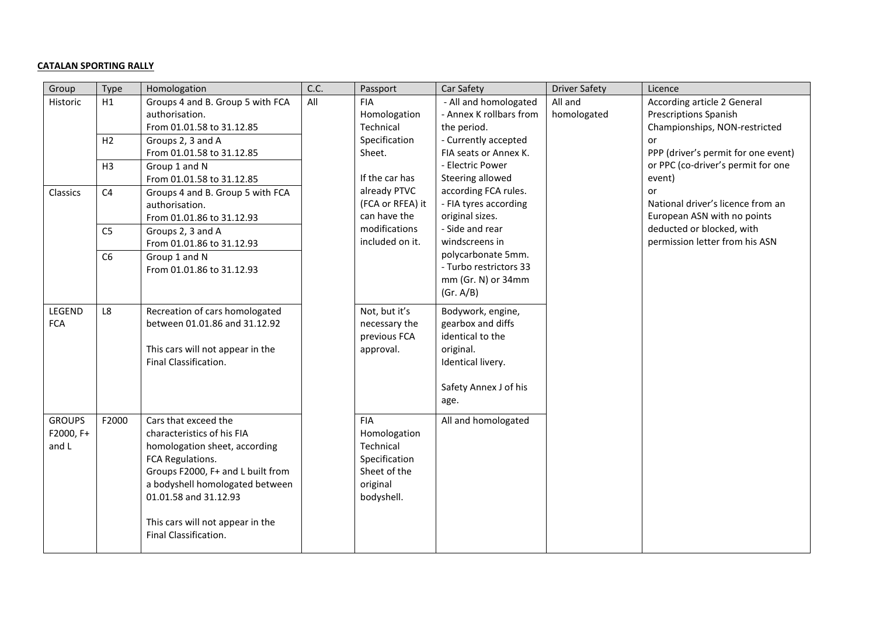### **CATALAN SPORTING RALLY**

| Group                               | Type           | Homologation                                                                                                                                                                                                                                                          | C.C. | Passport                                                                                           | Car Safety                                                                                                                    | <b>Driver Safety</b>   | Licence                                                                                             |
|-------------------------------------|----------------|-----------------------------------------------------------------------------------------------------------------------------------------------------------------------------------------------------------------------------------------------------------------------|------|----------------------------------------------------------------------------------------------------|-------------------------------------------------------------------------------------------------------------------------------|------------------------|-----------------------------------------------------------------------------------------------------|
| Historic                            | H1             | Groups 4 and B. Group 5 with FCA<br>authorisation.<br>From 01.01.58 to 31.12.85                                                                                                                                                                                       | All  | <b>FIA</b><br>Homologation<br>Technical                                                            | - All and homologated<br>- Annex K rollbars from<br>the period.                                                               | All and<br>homologated | <b>According article 2 General</b><br><b>Prescriptions Spanish</b><br>Championships, NON-restricted |
|                                     | H2             | Groups 2, 3 and A<br>From 01.01.58 to 31.12.85                                                                                                                                                                                                                        |      | Specification<br>Sheet.                                                                            | - Currently accepted<br>FIA seats or Annex K.                                                                                 |                        | or<br>PPP (driver's permit for one event)                                                           |
|                                     | H <sub>3</sub> | Group 1 and N<br>From 01.01.58 to 31.12.85                                                                                                                                                                                                                            |      | If the car has                                                                                     | - Electric Power<br>Steering allowed                                                                                          |                        | or PPC (co-driver's permit for one<br>event)                                                        |
| Classics                            | C <sub>4</sub> | Groups 4 and B. Group 5 with FCA<br>authorisation.<br>From 01.01.86 to 31.12.93                                                                                                                                                                                       |      | already PTVC<br>(FCA or RFEA) it<br>can have the                                                   | according FCA rules.<br>- FIA tyres according<br>original sizes.                                                              |                        | or<br>National driver's licence from an<br>European ASN with no points                              |
|                                     | C <sub>5</sub> | Groups 2, 3 and A<br>From 01.01.86 to 31.12.93                                                                                                                                                                                                                        |      | modifications<br>included on it.                                                                   | - Side and rear<br>windscreens in                                                                                             |                        | deducted or blocked, with<br>permission letter from his ASN                                         |
|                                     | C6             | Group 1 and N<br>From 01.01.86 to 31.12.93                                                                                                                                                                                                                            |      |                                                                                                    | polycarbonate 5mm.<br>- Turbo restrictors 33<br>mm (Gr. N) or 34mm<br>(Gr. A/B)                                               |                        |                                                                                                     |
| LEGEND<br><b>FCA</b>                | L8             | Recreation of cars homologated<br>between 01.01.86 and 31.12.92<br>This cars will not appear in the<br>Final Classification.                                                                                                                                          |      | Not, but it's<br>necessary the<br>previous FCA<br>approval.                                        | Bodywork, engine,<br>gearbox and diffs<br>identical to the<br>original.<br>Identical livery.<br>Safety Annex J of his<br>age. |                        |                                                                                                     |
| <b>GROUPS</b><br>F2000, F+<br>and L | F2000          | Cars that exceed the<br>characteristics of his FIA<br>homologation sheet, according<br>FCA Regulations.<br>Groups F2000, F+ and L built from<br>a bodyshell homologated between<br>01.01.58 and 31.12.93<br>This cars will not appear in the<br>Final Classification. |      | <b>FIA</b><br>Homologation<br>Technical<br>Specification<br>Sheet of the<br>original<br>bodyshell. | All and homologated                                                                                                           |                        |                                                                                                     |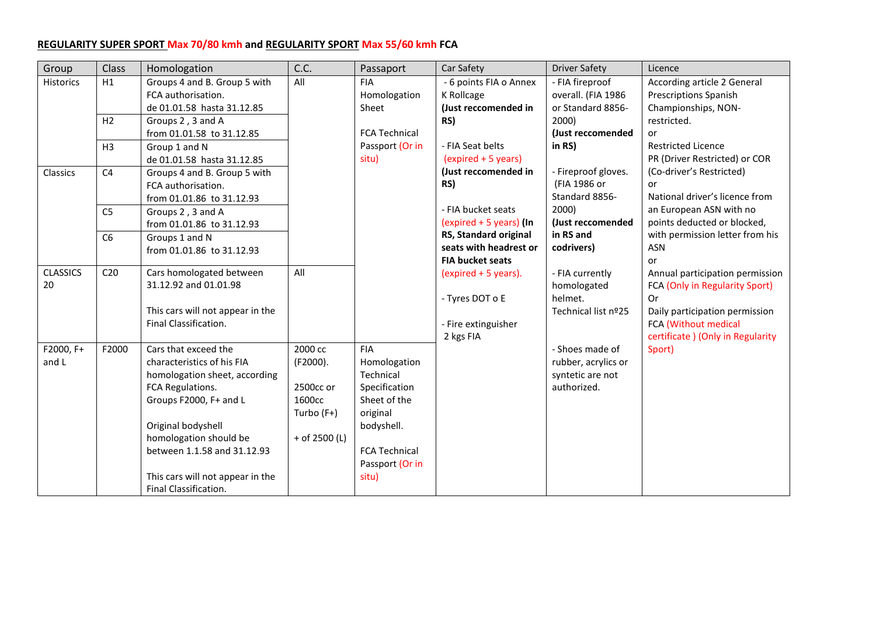# **REGULARITY SUPER SPORT Max 70/80 kmh and REGULARITY SPORT Max 55/60 kmh FCA**

| Group            | Class           | Homologation                     | C.C.            | Passaport            | Car Safety              | <b>Driver Safety</b> | Licence                           |
|------------------|-----------------|----------------------------------|-----------------|----------------------|-------------------------|----------------------|-----------------------------------|
| <b>Historics</b> | H1              | Groups 4 and B. Group 5 with     | All             | <b>FIA</b>           | - 6 points FIA o Annex  | - FIA fireproof      | According article 2 General       |
|                  |                 | FCA authorisation.               |                 | Homologation         | K Rollcage              | overall. (FIA 1986   | <b>Prescriptions Spanish</b>      |
|                  |                 | de 01.01.58 hasta 31.12.85       |                 | Sheet                | (Just reccomended in    | or Standard 8856-    | Championships, NON-               |
|                  | H <sub>2</sub>  | Groups 2, 3 and A                |                 |                      | RS)                     | 2000)                | restricted.                       |
|                  |                 | from 01.01.58 to 31.12.85        |                 | <b>FCA Technical</b> |                         | (Just reccomended    | or                                |
|                  | H <sub>3</sub>  | Group 1 and N                    |                 | Passport (Or in      | - FIA Seat belts        | in $RS$ )            | <b>Restricted Licence</b>         |
|                  |                 | de 01.01.58 hasta 31.12.85       |                 | situ)                | (expired + 5 years)     |                      | PR (Driver Restricted) or COR     |
| Classics         | C <sub>4</sub>  | Groups 4 and B. Group 5 with     |                 |                      | (Just reccomended in    | - Fireproof gloves.  | (Co-driver's Restricted)          |
|                  |                 | FCA authorisation.               |                 |                      | RS)                     | (FIA 1986 or         | or                                |
|                  |                 | from 01.01.86 to 31.12.93        |                 |                      |                         | Standard 8856-       | National driver's licence from    |
|                  | C <sub>5</sub>  | Groups 2, 3 and A                |                 |                      | - FIA bucket seats      | 2000)                | an European ASN with no           |
|                  |                 | from 01.01.86 to 31.12.93        |                 |                      | (expired + 5 years) (In | (Just reccomended    | points deducted or blocked,       |
|                  | C <sub>6</sub>  | Groups 1 and N                   |                 |                      | RS, Standard original   | in RS and            | with permission letter from his   |
|                  |                 | from 01.01.86 to 31.12.93        |                 |                      | seats with headrest or  | codrivers)           | <b>ASN</b>                        |
|                  |                 |                                  |                 |                      | <b>FIA bucket seats</b> |                      | or                                |
| <b>CLASSICS</b>  | C <sub>20</sub> | Cars homologated between         | All             |                      | (expired + 5 years).    | - FIA currently      | Annual participation permission   |
| 20               |                 | 31.12.92 and 01.01.98            |                 |                      |                         | homologated          | FCA (Only in Regularity Sport)    |
|                  |                 |                                  |                 |                      | - Tyres DOT o E         | helmet.              | 0r                                |
|                  |                 | This cars will not appear in the |                 |                      |                         | Technical list nº25  | Daily participation permission    |
|                  |                 | Final Classification.            |                 |                      | - Fire extinguisher     |                      | FCA (Without medical              |
|                  |                 |                                  |                 |                      | 2 kgs FIA               |                      | certificate ) (Only in Regularity |
| F2000, F+        | F2000           | Cars that exceed the             | 2000 cc         | <b>FIA</b>           |                         | - Shoes made of      | Sport)                            |
| and L            |                 | characteristics of his FIA       | (F2000).        | Homologation         |                         | rubber, acrylics or  |                                   |
|                  |                 | homologation sheet, according    |                 | Technical            |                         | syntetic are not     |                                   |
|                  |                 | FCA Regulations.                 | 2500cc or       | Specification        |                         | authorized.          |                                   |
|                  |                 | Groups F2000, F+ and L           | 1600cc          | Sheet of the         |                         |                      |                                   |
|                  |                 |                                  | Turbo (F+)      | original             |                         |                      |                                   |
|                  |                 | Original bodyshell               |                 | bodyshell.           |                         |                      |                                   |
|                  |                 | homologation should be           | $+$ of 2500 (L) |                      |                         |                      |                                   |
|                  |                 | between 1.1.58 and 31.12.93      |                 | <b>FCA Technical</b> |                         |                      |                                   |
|                  |                 |                                  |                 | Passport (Or in      |                         |                      |                                   |
|                  |                 | This cars will not appear in the |                 | situ)                |                         |                      |                                   |
|                  |                 | Final Classification.            |                 |                      |                         |                      |                                   |